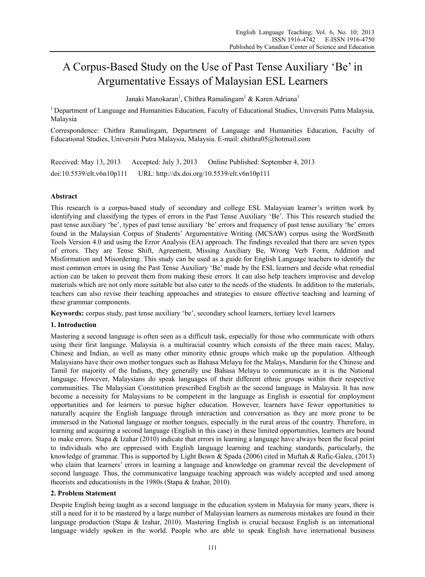# A Corpus-Based Study on the Use of Past Tense Auxiliary 'Be' in Argumentative Essays of Malaysian ESL Learners

Janaki Manokaran<sup>1</sup>, Chithra Ramalingam<sup>1</sup> & Karen Adriana<sup>1</sup>

<sup>1</sup> Department of Language and Humanities Education, Faculty of Educational Studies, Universiti Putra Malaysia, Malaysia

Correspondence: Chithra Ramalingam, Department of Language and Humanities Education, Faculty of Educational Studies, Universiti Putra Malaysia, Malaysia. E-mail: chithra05@hotmail.com

Received: May 13, 2013 Accepted: July 3, 2013 Online Published: September 4, 2013 doi:10.5539/elt.v6n10p111 URL: http://dx.doi.org/10.5539/elt.v6n10p111

# **Abstract**

This research is a corpus-based study of secondary and college ESL Malaysian learner's written work by identifying and classifying the types of errors in the Past Tense Auxiliary 'Be'. This This research studied the past tense auxiliary 'be', types of past tense auxiliary 'be' errors and frequency of past tense auxiliary 'be' errors found in the Malaysian Corpus of Students' Argumentative Writing (MCSAW) corpus using the WordSmith Tools Version 4.0 and using the Error Analysis (EA) approach. The findings revealed that there are seven types of errors. They are Tense Shift, Agreement, Missing Auxiliary Be, Wrong Verb Form, Addition and Misformation and Misordering. This study can be used as a guide for English Language teachers to identify the most common errors in using the Past Tense Auxiliary 'Be' made by the ESL learners and decide what remedial action can be taken to prevent them from making these errors. It can also help teachers improvise and develop materials which are not only more suitable but also cater to the needs of the students. In addition to the materials, teachers can also revise their teaching approaches and strategies to ensure effective teaching and learning of these grammar components.

**Keywords:** corpus study, past tense auxiliary 'be', secondary school learners, tertiary level learners

# **1. Introduction**

Mastering a second language is often seen as a difficult task, especially for those who communicate with others using their first language. Malaysia is a multiracial country which consists of the three main races; Malay, Chinese and Indian, as well as many other minority ethnic groups which make up the population. Although Malaysians have their own mother tongues such as Bahasa Melayu for the Malays, Mandarin for the Chinese and Tamil for majority of the Indians, they generally use Bahasa Melayu to communicate as it is the National language. However, Malaysians do speak languages of their different ethnic groups within their respective communities. The Malaysian Constitution prescribed English as the second language in Malaysia. It has now become a necessity for Malaysians to be competent in the language as English is essential for employment opportunities and for learners to pursue higher education. However, learners have fewer opportunities to naturally acquire the English language through interaction and conversation as they are more prone to be immersed in the National language or mother tongues, especially in the rural areas of the country. Therefore, in learning and acquiring a second language (English in this case) in these limited opportunities, learners are bound to make errors. Stapa & Izahar (2010) indicate that errors in learning a language have always been the focal point to individuals who are oppressed with English language learning and teaching standards, particularly, the knowledge of grammar. This is supported by Light Bown & Spada (2006) cited in Muftah & Rafic-Galea, (2013) who claim that learners' errors in learning a language and knowledge on grammar reveal the development of second language. Thus, the communicative language teaching approach was widely accepted and used among theorists and educationists in the 1980s (Stapa & Izahar, 2010).

# **2. Problem Statement**

Despite English being taught as a second language in the education system in Malaysia for many years, there is still a need for it to be mastered by a large number of Malaysian learners as numerous mistakes are found in their language production (Stapa & Izahar, 2010). Mastering English is crucial because English is an international language widely spoken in the world. People who are able to speak English have international business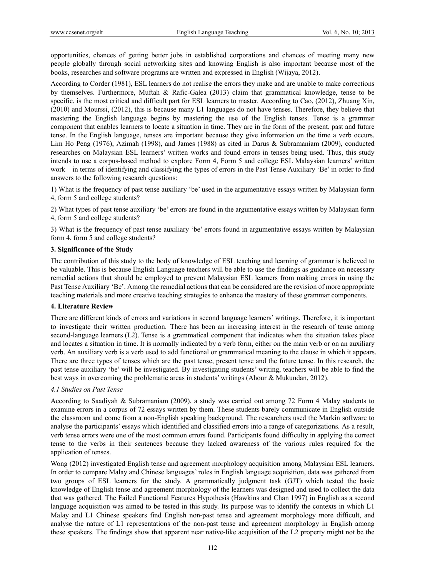opportunities, chances of getting better jobs in established corporations and chances of meeting many new people globally through social networking sites and knowing English is also important because most of the books, researches and software programs are written and expressed in English (Wijaya, 2012).

According to Corder (1981), ESL learners do not realise the errors they make and are unable to make corrections by themselves. Furthermore, Muftah & Rafic-Galea (2013) claim that grammatical knowledge, tense to be specific, is the most critical and difficult part for ESL learners to master. According to Cao, (2012), Zhuang Xin, (2010) and Mourssi, (2012), this is because many L1 languages do not have tenses. Therefore, they believe that mastering the English language begins by mastering the use of the English tenses. Tense is a grammar component that enables learners to locate a situation in time. They are in the form of the present, past and future tense. In the English language, tenses are important because they give information on the time a verb occurs. Lim Ho Peng (1976), Azimah (1998), and James (1988) as cited in Darus & Subramaniam (2009), conducted researches on Malaysian ESL learners' written works and found errors in tenses being used. Thus, this study intends to use a corpus-based method to explore Form 4, Form 5 and college ESL Malaysian learners' written work in terms of identifying and classifying the types of errors in the Past Tense Auxiliary 'Be' in order to find answers to the following research questions:

1) What is the frequency of past tense auxiliary 'be' used in the argumentative essays written by Malaysian form 4, form 5 and college students?

2) What types of past tense auxiliary 'be' errors are found in the argumentative essays written by Malaysian form 4, form 5 and college students?

3) What is the frequency of past tense auxiliary 'be' errors found in argumentative essays written by Malaysian form 4, form 5 and college students?

# **3. Significance of the Study**

The contribution of this study to the body of knowledge of ESL teaching and learning of grammar is believed to be valuable. This is because English Language teachers will be able to use the findings as guidance on necessary remedial actions that should be employed to prevent Malaysian ESL learners from making errors in using the Past Tense Auxiliary 'Be'. Among the remedial actions that can be considered are the revision of more appropriate teaching materials and more creative teaching strategies to enhance the mastery of these grammar components.

# **4. Literature Review**

There are different kinds of errors and variations in second language learners' writings. Therefore, it is important to investigate their written production. There has been an increasing interest in the research of tense among second-language learners (L2). Tense is a grammatical component that indicates when the situation takes place and locates a situation in time. It is normally indicated by a verb form, either on the main verb or on an auxiliary verb. An auxiliary verb is a verb used to add functional or grammatical meaning to the clause in which it appears. There are three types of tenses which are the past tense, present tense and the future tense. In this research, the past tense auxiliary 'be' will be investigated. By investigating students' writing, teachers will be able to find the best ways in overcoming the problematic areas in students' writings (Ahour & Mukundan, 2012).

# *4.1 Studies on Past Tense*

According to Saadiyah & Subramaniam (2009), a study was carried out among 72 Form 4 Malay students to examine errors in a corpus of 72 essays written by them. These students barely communicate in English outside the classroom and come from a non-English speaking background. The researchers used the Markin software to analyse the participants' essays which identified and classified errors into a range of categorizations. As a result, verb tense errors were one of the most common errors found. Participants found difficulty in applying the correct tense to the verbs in their sentences because they lacked awareness of the various rules required for the application of tenses.

Wong (2012) investigated English tense and agreement morphology acquisition among Malaysian ESL learners. In order to compare Malay and Chinese languages' roles in English language acquisition, data was gathered from two groups of ESL learners for the study. A grammatically judgment task (GJT) which tested the basic knowledge of English tense and agreement morphology of the learners was designed and used to collect the data that was gathered. The Failed Functional Features Hypothesis (Hawkins and Chan 1997) in English as a second language acquisition was aimed to be tested in this study. Its purpose was to identify the contexts in which L1 Malay and L1 Chinese speakers find English non-past tense and agreement morphology more difficult, and analyse the nature of L1 representations of the non-past tense and agreement morphology in English among these speakers. The findings show that apparent near native-like acquisition of the L2 property might not be the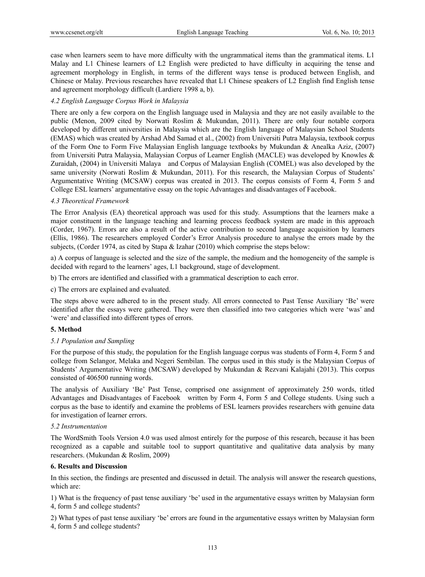case when learners seem to have more difficulty with the ungrammatical items than the grammatical items. L1 Malay and L1 Chinese learners of L2 English were predicted to have difficulty in acquiring the tense and agreement morphology in English, in terms of the different ways tense is produced between English, and Chinese or Malay. Previous researches have revealed that L1 Chinese speakers of L2 English find English tense and agreement morphology difficult (Lardiere 1998 a, b).

# *4.2 English Language Corpus Work in Malaysia*

There are only a few corpora on the English language used in Malaysia and they are not easily available to the public (Menon, 2009 cited by Norwati Roslim & Mukundan, 2011). There are only four notable corpora developed by different universities in Malaysia which are the English language of Malaysian School Students (EMAS) which was created by Arshad Abd Samad et al., (2002) from Universiti Putra Malaysia, textbook corpus of the Form One to Form Five Malaysian English language textbooks by Mukundan & Anealka Aziz, (2007) from Universiti Putra Malaysia, Malaysian Corpus of Learner English (MACLE) was developed by Knowles & Zuraidah, (2004) in Universiti Malaya and Corpus of Malaysian English (COMEL) was also developed by the same university (Norwati Roslim & Mukundan, 2011). For this research, the Malaysian Corpus of Students' Argumentative Writing (MCSAW) corpus was created in 2013. The corpus consists of Form 4, Form 5 and College ESL learners' argumentative essay on the topic Advantages and disadvantages of Facebook.

#### *4.3 Theoretical Framework*

The Error Analysis (EA) theoretical approach was used for this study. Assumptions that the learners make a major constituent in the language teaching and learning process feedback system are made in this approach (Corder, 1967). Errors are also a result of the active contribution to second language acquisition by learners (Ellis, 1986). The researchers employed Corder's Error Analysis procedure to analyse the errors made by the subjects, (Corder 1974, as cited by Stapa & Izahar (2010) which comprise the steps below:

a) A corpus of language is selected and the size of the sample, the medium and the homogeneity of the sample is decided with regard to the learners' ages, L1 background, stage of development.

b) The errors are identified and classified with a grammatical description to each error.

c) The errors are explained and evaluated.

The steps above were adhered to in the present study. All errors connected to Past Tense Auxiliary 'Be' were identified after the essays were gathered. They were then classified into two categories which were 'was' and 'were' and classified into different types of errors.

# **5. Method**

#### *5.1 Population and Sampling*

For the purpose of this study, the population for the English language corpus was students of Form 4, Form 5 and college from Selangor, Melaka and Negeri Sembilan. The corpus used in this study is the Malaysian Corpus of Students' Argumentative Writing (MCSAW) developed by Mukundan & Rezvani Kalajahi (2013). This corpus consisted of 406500 running words.

The analysis of Auxiliary 'Be' Past Tense, comprised one assignment of approximately 250 words, titled Advantages and Disadvantages of Facebook written by Form 4, Form 5 and College students. Using such a corpus as the base to identify and examine the problems of ESL learners provides researchers with genuine data for investigation of learner errors.

#### *5.2 Instrumentation*

The WordSmith Tools Version 4.0 was used almost entirely for the purpose of this research, because it has been recognized as a capable and suitable tool to support quantitative and qualitative data analysis by many researchers. (Mukundan & Roslim, 2009)

# **6. Results and Discussion**

In this section, the findings are presented and discussed in detail. The analysis will answer the research questions, which are:

1) What is the frequency of past tense auxiliary 'be' used in the argumentative essays written by Malaysian form 4, form 5 and college students?

2) What types of past tense auxiliary 'be' errors are found in the argumentative essays written by Malaysian form 4, form 5 and college students?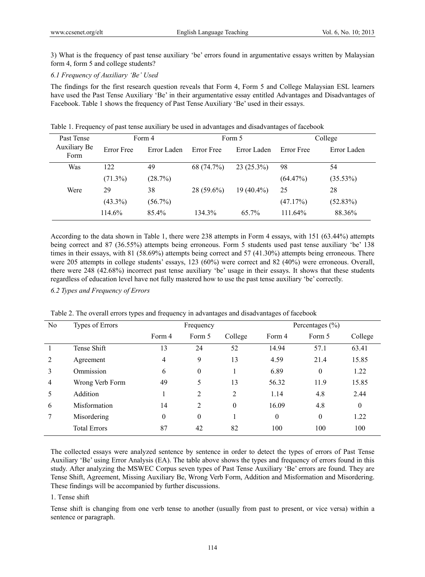3) What is the frequency of past tense auxiliary 'be' errors found in argumentative essays written by Malaysian form 4, form 5 and college students?

# *6.1 Frequency of Auxiliary 'Be' Used*

The findings for the first research question reveals that Form 4, Form 5 and College Malaysian ESL learners have used the Past Tense Auxiliary 'Be' in their argumentative essay entitled Advantages and Disadvantages of Facebook. Table 1 shows the frequency of Past Tense Auxiliary 'Be' used in their essays.

| Past Tense           | Form 4     |             | Form 5       |              | College     |             |
|----------------------|------------|-------------|--------------|--------------|-------------|-------------|
| Auxiliary Be<br>Form | Error Free | Error Laden | Error Free   | Error Laden  | Error Free  | Error Laden |
| Was                  | 122        | 49          | 68 (74.7%)   | $23(25.3\%)$ | 98          | 54          |
|                      | $(71.3\%)$ | (28.7%)     |              |              | $(64.47\%)$ | (35.53%)    |
| Were                 | 29         | 38          | $28(59.6\%)$ | $19(40.4\%)$ | 25          | 28          |
|                      | $(43.3\%)$ | $(56.7\%)$  |              |              | (47.17%)    | (52.83%)    |
|                      | 114.6%     | 85.4%       | 134.3%       | $65.7\%$     | 111.64%     | 88.36%      |

Table 1. Frequency of past tense auxiliary be used in advantages and disadvantages of facebook

According to the data shown in Table 1, there were 238 attempts in Form 4 essays, with 151 (63.44%) attempts being correct and 87 (36.55%) attempts being erroneous. Form 5 students used past tense auxiliary 'be' 138 times in their essays, with 81 (58.69%) attempts being correct and 57 (41.30%) attempts being erroneous. There were 205 attempts in college students' essays, 123 (60%) were correct and 82 (40%) were erroneous. Overall, there were 248 (42.68%) incorrect past tense auxiliary 'be' usage in their essays. It shows that these students regardless of education level have not fully mastered how to use the past tense auxiliary 'be' correctly.

*6.2 Types and Frequency of Errors* 

| No | Types of Errors     | Frequency |                  |          | Percentages $(\% )$ |                  |              |
|----|---------------------|-----------|------------------|----------|---------------------|------------------|--------------|
|    |                     | Form 4    | Form 5           | College  | Form 4              | Form 5           | College      |
|    | Tense Shift         | 13        | 24               | 52       | 14.94               | 57.1             | 63.41        |
| 2  | Agreement           | 4         | 9                | 13       | 4.59                | 21.4             | 15.85        |
| 3  | Ommission           | 6         | $\boldsymbol{0}$ |          | 6.89                | $\theta$         | 1.22         |
| 4  | Wrong Verb Form     | 49        | 5                | 13       | 56.32               | 11.9             | 15.85        |
| 5  | Addition            |           | 2                | 2        | 1.14                | 4.8              | 2.44         |
| 6  | <b>Misformation</b> | 14        | $\overline{2}$   | $\theta$ | 16.09               | 4.8              | $\mathbf{0}$ |
|    | Misordering         | $\theta$  | $\boldsymbol{0}$ |          | $\boldsymbol{0}$    | $\boldsymbol{0}$ | 1.22         |
|    | <b>Total Errors</b> | 87        | 42               | 82       | 100                 | 100              | 100          |

Table 2. The overall errors types and frequency in advantages and disadvantages of facebook

The collected essays were analyzed sentence by sentence in order to detect the types of errors of Past Tense Auxiliary 'Be' using Error Analysis (EA). The table above shows the types and frequency of errors found in this study. After analyzing the MSWEC Corpus seven types of Past Tense Auxiliary 'Be' errors are found. They are Tense Shift, Agreement, Missing Auxiliary Be, Wrong Verb Form, Addition and Misformation and Misordering. These findings will be accompanied by further discussions.

# 1. Tense shift

Tense shift is changing from one verb tense to another (usually from past to present, or vice versa) within a sentence or paragraph.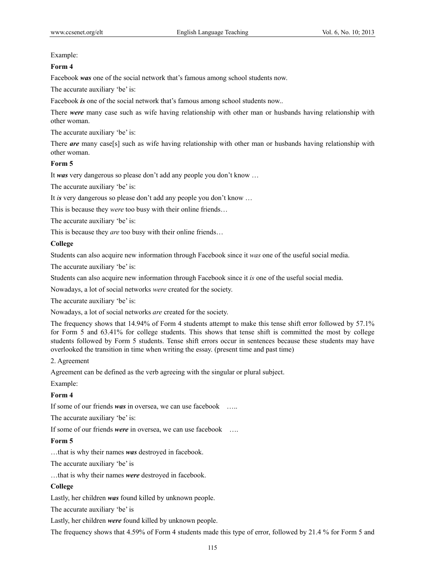Example:

# **Form 4**

Facebook *was* one of the social network that's famous among school students now.

The accurate auxiliary 'be' is:

Facebook *is* one of the social network that's famous among school students now..

There *were* many case such as wife having relationship with other man or husbands having relationship with other woman.

The accurate auxiliary 'be' is:

There *are* many case[s] such as wife having relationship with other man or husbands having relationship with other woman.

# **Form 5**

It *was* very dangerous so please don't add any people you don't know …

The accurate auxiliary 'be' is:

It *is* very dangerous so please don't add any people you don't know …

This is because they *were* too busy with their online friends…

The accurate auxiliary 'be' is:

This is because they *are* too busy with their online friends…

# **College**

Students can also acquire new information through Facebook since it *was* one of the useful social media.

The accurate auxiliary 'be' is:

Students can also acquire new information through Facebook since it *is* one of the useful social media.

Nowadays, a lot of social networks *were* created for the society.

The accurate auxiliary 'be' is:

Nowadays, a lot of social networks *are* created for the society.

The frequency shows that 14.94% of Form 4 students attempt to make this tense shift error followed by 57.1% for Form 5 and 63.41% for college students. This shows that tense shift is committed the most by college students followed by Form 5 students. Tense shift errors occur in sentences because these students may have overlooked the transition in time when writing the essay. (present time and past time)

# 2. Agreement

Agreement can be defined as the verb agreeing with the singular or plural subject.

Example:

# **Form 4**

If some of our friends *was* in oversea, we can use facebook …..

The accurate auxiliary 'be' is:

If some of our friends *were* in oversea, we can use facebook ….

# **Form 5**

…that is why their names *was* destroyed in facebook.

The accurate auxiliary 'be' is

…that is why their names *were* destroyed in facebook.

# **College**

Lastly, her children *was* found killed by unknown people.

The accurate auxiliary 'be' is

Lastly, her children *were* found killed by unknown people.

The frequency shows that 4.59% of Form 4 students made this type of error, followed by 21.4 % for Form 5 and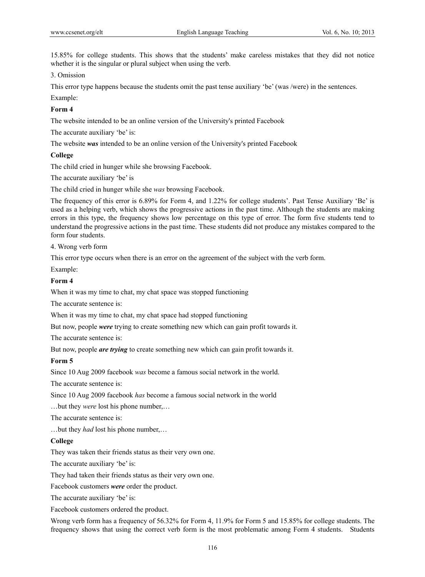15.85% for college students. This shows that the students' make careless mistakes that they did not notice whether it is the singular or plural subject when using the verb.

3. Omission

This error type happens because the students omit the past tense auxiliary 'be' (was /were) in the sentences.

Example:

#### **Form 4**

The website intended to be an online version of the University's printed Facebook

The accurate auxiliary 'be' is:

The website *was* intended to be an online version of the University's printed Facebook

#### **College**

The child cried in hunger while she browsing Facebook.

The accurate auxiliary 'be' is

The child cried in hunger while she *was* browsing Facebook.

The frequency of this error is 6.89% for Form 4, and 1.22% for college students'. Past Tense Auxiliary 'Be' is used as a helping verb, which shows the progressive actions in the past time. Although the students are making errors in this type, the frequency shows low percentage on this type of error. The form five students tend to understand the progressive actions in the past time. These students did not produce any mistakes compared to the form four students.

4. Wrong verb form

This error type occurs when there is an error on the agreement of the subject with the verb form.

Example:

#### **Form 4**

When it was my time to chat, my chat space was stopped functioning

The accurate sentence is:

When it was my time to chat, my chat space had stopped functioning

But now, people *were* trying to create something new which can gain profit towards it.

The accurate sentence is:

But now, people *are trying* to create something new which can gain profit towards it.

# **Form 5**

Since 10 Aug 2009 facebook *was* become a famous social network in the world.

The accurate sentence is:

Since 10 Aug 2009 facebook *has* become a famous social network in the world

…but they *were* lost his phone number,…

The accurate sentence is:

…but they *had* lost his phone number,…

#### **College**

They was taken their friends status as their very own one.

The accurate auxiliary 'be' is:

They had taken their friends status as their very own one.

Facebook customers *were* order the product.

The accurate auxiliary 'be' is:

Facebook customers ordered the product.

Wrong verb form has a frequency of 56.32% for Form 4, 11.9% for Form 5 and 15.85% for college students. The frequency shows that using the correct verb form is the most problematic among Form 4 students. Students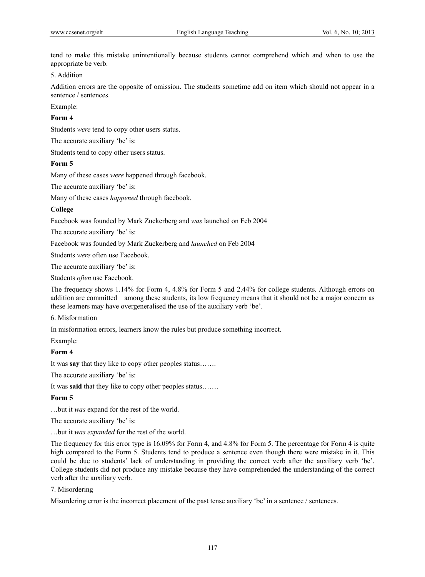tend to make this mistake unintentionally because students cannot comprehend which and when to use the appropriate be verb.

5. Addition

Addition errors are the opposite of omission. The students sometime add on item which should not appear in a sentence / sentences.

Example:

# **Form 4**

Students *were* tend to copy other users status.

The accurate auxiliary 'be' is:

Students tend to copy other users status.

#### **Form 5**

Many of these cases *were* happened through facebook.

The accurate auxiliary 'be' is:

Many of these cases *happened* through facebook.

#### **College**

Facebook was founded by Mark Zuckerberg and *was* launched on Feb 2004

The accurate auxiliary 'be' is:

Facebook was founded by Mark Zuckerberg and *launched* on Feb 2004

Students *were* often use Facebook.

The accurate auxiliary 'be' is:

Students *often* use Facebook.

The frequency shows 1.14% for Form 4, 4.8% for Form 5 and 2.44% for college students. Although errors on addition are committed among these students, its low frequency means that it should not be a major concern as these learners may have overgeneralised the use of the auxiliary verb 'be'.

#### 6. Misformation

In misformation errors, learners know the rules but produce something incorrect.

Example:

# **Form 4**

It was **say** that they like to copy other peoples status…….

The accurate auxiliary 'be' is:

It was **said** that they like to copy other peoples status…….

#### **Form 5**

…but it *was* expand for the rest of the world.

The accurate auxiliary 'be' is:

…but it *was expanded* for the rest of the world.

The frequency for this error type is 16.09% for Form 4, and 4.8% for Form 5. The percentage for Form 4 is quite high compared to the Form 5. Students tend to produce a sentence even though there were mistake in it. This could be due to students' lack of understanding in providing the correct verb after the auxiliary verb 'be'. College students did not produce any mistake because they have comprehended the understanding of the correct verb after the auxiliary verb.

# 7. Misordering

Misordering error is the incorrect placement of the past tense auxiliary 'be' in a sentence / sentences.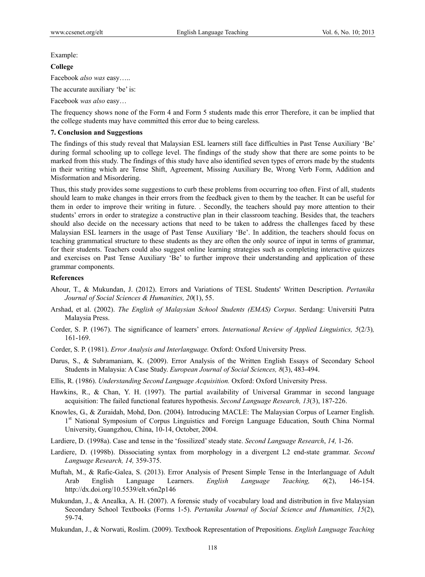Example:

#### **College**

Facebook *also was* easy…..

The accurate auxiliary 'be' is:

Facebook *was also* easy…

The frequency shows none of the Form 4 and Form 5 students made this error Therefore, it can be implied that the college students may have committed this error due to being careless.

#### **7. Conclusion and Suggestions**

The findings of this study reveal that Malaysian ESL learners still face difficulties in Past Tense Auxiliary 'Be' during formal schooling up to college level. The findings of the study show that there are some points to be marked from this study. The findings of this study have also identified seven types of errors made by the students in their writing which are Tense Shift, Agreement, Missing Auxiliary Be, Wrong Verb Form, Addition and Misformation and Misordering.

Thus, this study provides some suggestions to curb these problems from occurring too often. First of all, students should learn to make changes in their errors from the feedback given to them by the teacher. It can be useful for them in order to improve their writing in future. . Secondly, the teachers should pay more attention to their students' errors in order to strategize a constructive plan in their classroom teaching. Besides that, the teachers should also decide on the necessary actions that need to be taken to address the challenges faced by these Malaysian ESL learners in the usage of Past Tense Auxiliary 'Be'. In addition, the teachers should focus on teaching grammatical structure to these students as they are often the only source of input in terms of grammar, for their students. Teachers could also suggest online learning strategies such as completing interactive quizzes and exercises on Past Tense Auxiliary 'Be' to further improve their understanding and application of these grammar components.

#### **References**

- Ahour, T., & Mukundan, J. (2012). Errors and Variations of TESL Students' Written Description. *Pertanika Journal of Social Sciences & Humanities, 20*(1), 55.
- Arshad, et al. (2002). *The English of Malaysian School Students (EMAS) Corpus*. Serdang: Universiti Putra Malaysia Press.
- Corder, S. P. (1967). The significance of learners' errors. *International Review of Applied Linguistics, 5*(2/3)*,* 161-169.
- Corder, S. P. (1981). *Error Analysis and Interlanguage.* Oxford: Oxford University Press.
- Darus, S., & Subramaniam, K. (2009). Error Analysis of the Written English Essays of Secondary School Students in Malaysia: A Case Study. *European Journal of Social Sciences, 8*(3), 483-494.
- Ellis, R. (1986). *Understanding Second Language Acquisition.* Oxford: Oxford University Press.
- Hawkins, R., & Chan, Y. H. (1997). The partial availability of Universal Grammar in second language acquisition: The failed functional features hypothesis. *Second Language Research, 13*(3), 187-226.
- Knowles, G., & Zuraidah, Mohd, Don. (2004). Introducing MACLE: The Malaysian Corpus of Learner English. 1<sup>st</sup> National Symposium of Corpus Linguistics and Foreign Language Education, South China Normal University, Guangzhou, China, 10-14, October, 2004.
- Lardiere, D. (1998a). Case and tense in the 'fossilized' steady state. *Second Language Research*, *14,* 1-26.
- Lardiere, D. (1998b). Dissociating syntax from morphology in a divergent L2 end-state grammar. *Second Language Research, 14,* 359-375.
- Muftah, M., & Rafic-Galea, S. (2013). Error Analysis of Present Simple Tense in the Interlanguage of Adult Arab English Language Learners. *English Language Teaching, 6*(2), 146-154. http://dx.doi.org/10.5539/elt.v6n2p146
- Mukundan, J., & Anealka, A. H. (2007). A forensic study of vocabulary load and distribution in five Malaysian Secondary School Textbooks (Forms 1-5). *Pertanika Journal of Social Science and Humanities, 15*(2), 59-74.
- Mukundan, J., & Norwati, Roslim. (2009). Textbook Representation of Prepositions. *English Language Teaching*